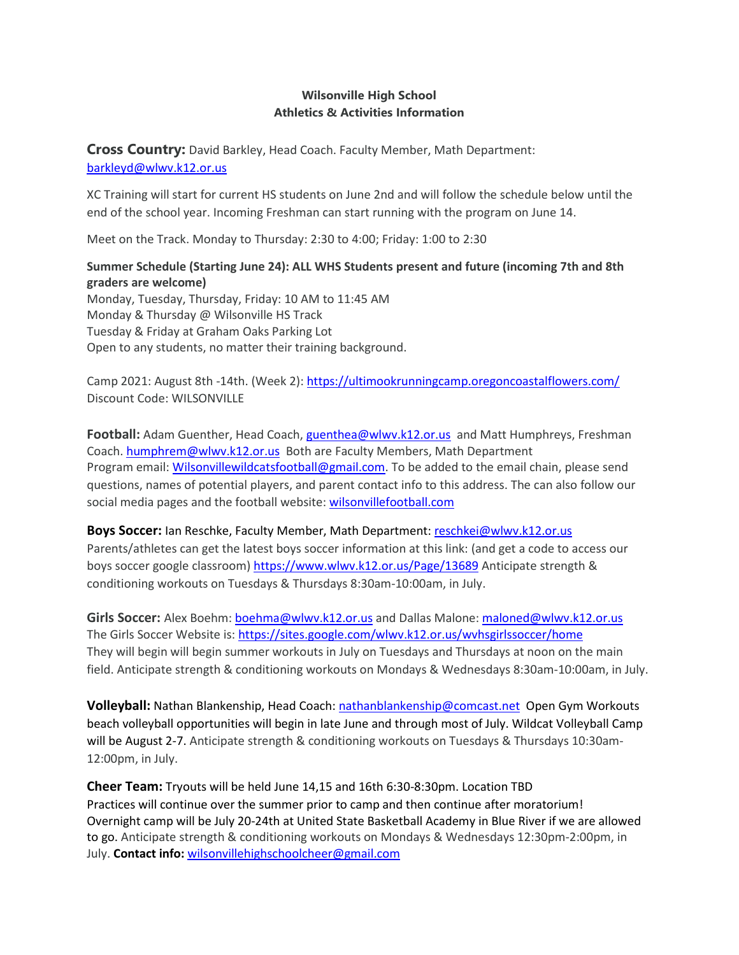## **Wilsonville High School Athletics & Activities Information**

**Cross Country:** David Barkley, Head Coach. Faculty Member, Math Department: [barkleyd@wlwv.k12.or.us](mailto:barkleyd@wlwv.k12.or.us)

XC Training will start for current HS students on June 2nd and will follow the schedule below until the end of the school year. Incoming Freshman can start running with the program on June 14.

Meet on the Track. Monday to Thursday: 2:30 to 4:00; Friday: 1:00 to 2:30

## **Summer Schedule (Starting June 24): ALL WHS Students present and future (incoming 7th and 8th graders are welcome)**

Monday, Tuesday, Thursday, Friday: 10 AM to 11:45 AM Monday & Thursday @ Wilsonville HS Track Tuesday & Friday at Graham Oaks Parking Lot Open to any students, no matter their training background.

Camp 2021: August 8th -14th. (Week 2):<https://ultimookrunningcamp.oregoncoastalflowers.com/> Discount Code: WILSONVILLE

**Football:** Adam Guenther, Head Coach[, guenthea@wlwv.k12.or.us](mailto:guenthea@wlwv.k12.or.us) and Matt Humphreys, Freshman Coach[. humphrem@wlwv.k12.or.us](mailto:humphrem@wlwv.k12.or.us) Both are Faculty Members, Math Department Program email: [Wilsonvillewildcatsfootball@gmail.com.](mailto:Wilsonvillewildcatsfootball@gmail.com) To be added to the email chain, please send questions, names of potential players, and parent contact info to this address. The can also follow our social media pages and the football website: wilsonvillefootball.com

**Boys Soccer:** Ian Reschke, Faculty Member, Math Department: [reschkei@wlwv.k12.or.us](mailto:reschkei@wlwv.k12.or.us) Parents/athletes can get the latest boys soccer information at this link: (and get a code to access our boys soccer google classroom)<https://www.wlwv.k12.or.us/Page/13689> Anticipate strength & conditioning workouts on Tuesdays & Thursdays 8:30am-10:00am, in July.

**Girls Soccer:** Alex Boehm[: boehma@wlwv.k12.or.us](mailto:boehma@wlwv.k12.or.us) and Dallas Malone[: maloned@wlwv.k12.or.us](mailto:maloned@wlwv.k12.or.us) The Girls Soccer Website is:<https://sites.google.com/wlwv.k12.or.us/wvhsgirlssoccer/home> They will begin will begin summer workouts in July on Tuesdays and Thursdays at noon on the main field. Anticipate strength & conditioning workouts on Mondays & Wednesdays 8:30am-10:00am, in July.

**Volleyball:** Nathan Blankenship, Head Coach[: nathanblankenship@comcast.net](mailto:nathanblankenship@comcast.net) Open Gym Workouts beach volleyball opportunities will begin in late June and through most of July. Wildcat Volleyball Camp will be August 2-7. Anticipate strength & conditioning workouts on Tuesdays & Thursdays 10:30am-12:00pm, in July.

**Cheer Team:** Tryouts will be held June 14,15 and 16th 6:30-8:30pm. Location TBD Practices will continue over the summer prior to camp and then continue after moratorium! Overnight camp will be July 20-24th at United State Basketball Academy in Blue River if we are allowed to go. Anticipate strength & conditioning workouts on Mondays & Wednesdays 12:30pm-2:00pm, in July. **Contact info:** [wilsonvillehighschoolcheer@gmail.com](mailto:wilsonvillehighschoolcheer@gmail.com)